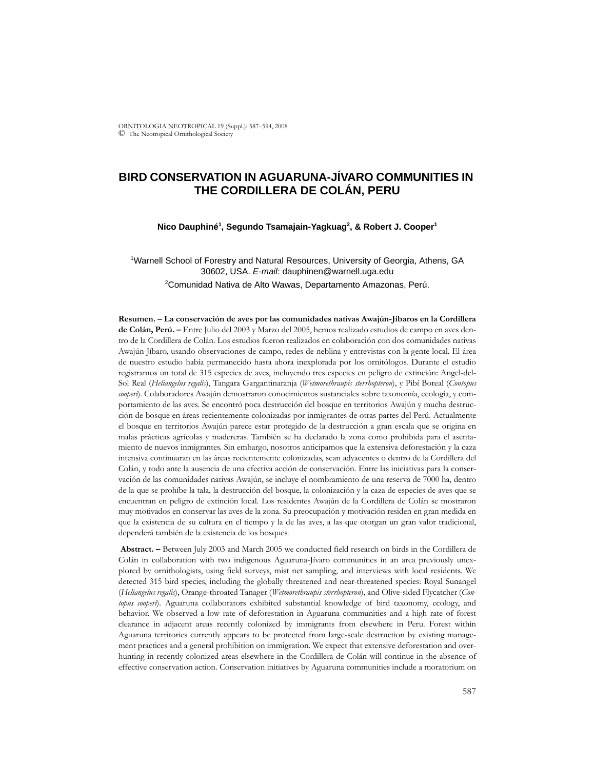ORNITOLOGIA NEOTROPICAL 19 (Suppl.): 587–594, 2008 © The Neotropical Ornithological Society

# **BIRD CONSERVATION IN AGUARUNA-JÍVARO COMMUNITIES IN THE CORDILLERA DE COLÁN, PERU**

#### **Nico Dauphiné1 , Segundo Tsamajain-Yagkuag2 , & Robert J. Cooper1**

<sup>1</sup>Warnell School of Forestry and Natural Resources, University of Georgia, Athens, GA 30602, USA. *E-mail*: dauphinen@warnell.uga.edu 2 Comunidad Nativa de Alto Wawas, Departamento Amazonas, Perú.

**Resumen. – La conservación de aves por las comunidades nativas Awajún-Jíbaros en la Cordillera de Colán, Perú. –** Entre Julio del 2003 y Marzo del 2005, hemos realizado estudios de campo en aves dentro de la Cordillera de Colán. Los estudios fueron realizados en colaboración con dos comunidades nativas Awajún-Jíbaro, usando observaciones de campo, redes de neblina y entrevistas con la gente local. El área de nuestro estudio había permanecido hasta ahora inexplorada por los ornitólogos. Durante el estudio registramos un total de 315 especies de aves, incluyendo tres especies en peligro de extinción: Angel-del-Sol Real (*Heliangelus regalis*), Tangara Gargantinaranja (*Wetmorethraupis sterrhopteron*), y Pibí Boreal (*Contopus cooperi*). Colaboradores Awajún demostraron conocimientos sustanciales sobre taxonomía, ecología, y comportamiento de las aves. Se encontró poca destrucción del bosque en territorios Awajún y mucha destrucción de bosque en áreas recientemente colonizadas por inmigrantes de otras partes del Perú. Actualmente el bosque en territorios Awajún parece estar protegido de la destrucción a gran escala que se origina en malas prácticas agrícolas y madereras. También se ha declarado la zona como prohibida para el asentamiento de nuevos inmigrantes. Sin embargo, nosotros anticipamos que la extensiva deforestación y la caza intensiva continuaran en las áreas recientemente colonizadas, sean adyacentes o dentro de la Cordillera del Colán, y todo ante la ausencia de una efectiva acción de conservación. Entre las iniciativas para la conservación de las comunidades nativas Awajún, se incluye el nombramiento de una reserva de 7000 ha, dentro de la que se prohíbe la tala, la destrucción del bosque, la colonización y la caza de especies de aves que se encuentran en peligro de extinción local. Los residentes Awajún de la Cordillera de Colán se mostraron muy motivados en conservar las aves de la zona. Su preocupación y motivación residen en gran medida en que la existencia de su cultura en el tiempo y la de las aves, a las que otorgan un gran valor tradicional, dependerá también de la existencia de los bosques.

 **Abstract. –** Between July 2003 and March 2005 we conducted field research on birds in the Cordillera de Colán in collaboration with two indigenous Aguaruna-Jívaro communities in an area previously unexplored by ornithologists, using field surveys, mist net sampling, and interviews with local residents. We detected 315 bird species, including the globally threatened and near-threatened species: Royal Sunangel (*Heliangelus regalis*), Orange-throated Tanager (*Wetmorethraupis sterrhopteron*), and Olive-sided Flycatcher (*Contopus cooperi*). Aguaruna collaborators exhibited substantial knowledge of bird taxonomy, ecology, and behavior. We observed a low rate of deforestation in Aguaruna communities and a high rate of forest clearance in adjacent areas recently colonized by immigrants from elsewhere in Peru. Forest within Aguaruna territories currently appears to be protected from large-scale destruction by existing management practices and a general prohibition on immigration. We expect that extensive deforestation and overhunting in recently colonized areas elsewhere in the Cordillera de Colán will continue in the absence of effective conservation action. Conservation initiatives by Aguaruna communities include a moratorium on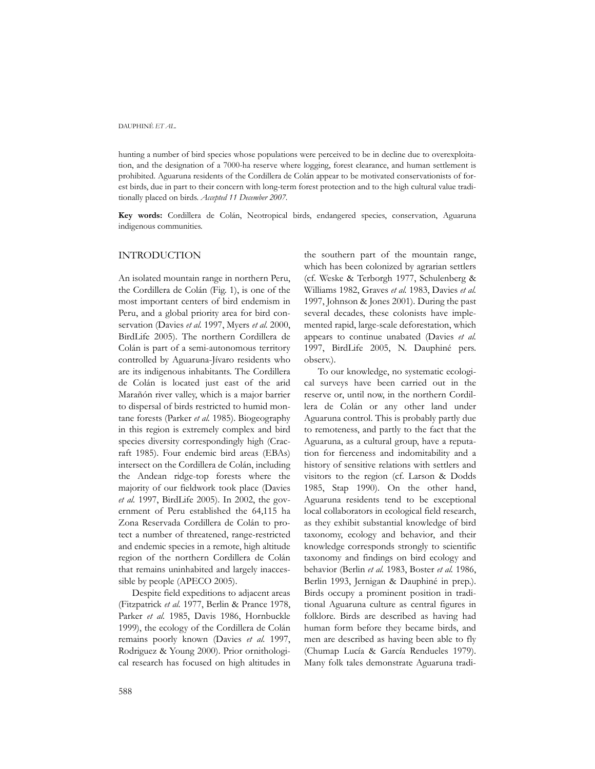hunting a number of bird species whose populations were perceived to be in decline due to overexploitation, and the designation of a 7000-ha reserve where logging, forest clearance, and human settlement is prohibited. Aguaruna residents of the Cordillera de Colán appear to be motivated conservationists of forest birds, due in part to their concern with long-term forest protection and to the high cultural value traditionally placed on birds. *Accepted 11 December 2007.*

**Key words:** Cordillera de Colán, Neotropical birds, endangered species, conservation, Aguaruna indigenous communities.

### INTRODUCTION

An isolated mountain range in northern Peru, the Cordillera de Colán (Fig. 1), is one of the most important centers of bird endemism in Peru, and a global priority area for bird conservation (Davies *et al.* 1997, Myers *et al.* 2000, BirdLife 2005). The northern Cordillera de Colán is part of a semi-autonomous territory controlled by Aguaruna-Jívaro residents who are its indigenous inhabitants. The Cordillera de Colán is located just east of the arid Marañón river valley, which is a major barrier to dispersal of birds restricted to humid montane forests (Parker *et al.* 1985). Biogeography in this region is extremely complex and bird species diversity correspondingly high (Cracraft 1985). Four endemic bird areas (EBAs) intersect on the Cordillera de Colán, including the Andean ridge-top forests where the majority of our fieldwork took place (Davies *et al.* 1997, BirdLife 2005). In 2002, the government of Peru established the 64,115 ha Zona Reservada Cordillera de Colán to protect a number of threatened, range-restricted and endemic species in a remote, high altitude region of the northern Cordillera de Colán that remains uninhabited and largely inaccessible by people (APECO 2005).

Despite field expeditions to adjacent areas (Fitzpatrick *et al.* 1977, Berlin & Prance 1978, Parker *et al.* 1985, Davis 1986, Hornbuckle 1999), the ecology of the Cordillera de Colán remains poorly known (Davies *et al.* 1997, Rodriguez & Young 2000). Prior ornithological research has focused on high altitudes in the southern part of the mountain range, which has been colonized by agrarian settlers (cf. Weske & Terborgh 1977, Schulenberg & Williams 1982, Graves *et al.* 1983, Davies *et al.* 1997, Johnson & Jones 2001). During the past several decades, these colonists have implemented rapid, large-scale deforestation, which appears to continue unabated (Davies *et al.* 1997, BirdLife 2005, N. Dauphiné pers. observ.).

To our knowledge, no systematic ecological surveys have been carried out in the reserve or, until now, in the northern Cordillera de Colán or any other land under Aguaruna control. This is probably partly due to remoteness, and partly to the fact that the Aguaruna, as a cultural group, have a reputation for fierceness and indomitability and a history of sensitive relations with settlers and visitors to the region (cf. Larson & Dodds 1985, Stap 1990). On the other hand, Aguaruna residents tend to be exceptional local collaborators in ecological field research, as they exhibit substantial knowledge of bird taxonomy, ecology and behavior, and their knowledge corresponds strongly to scientific taxonomy and findings on bird ecology and behavior (Berlin *et al.* 1983, Boster *et al.* 1986, Berlin 1993, Jernigan & Dauphiné in prep.). Birds occupy a prominent position in traditional Aguaruna culture as central figures in folklore. Birds are described as having had human form before they became birds, and men are described as having been able to fly (Chumap Lucía & García Rendueles 1979). Many folk tales demonstrate Aguaruna tradi-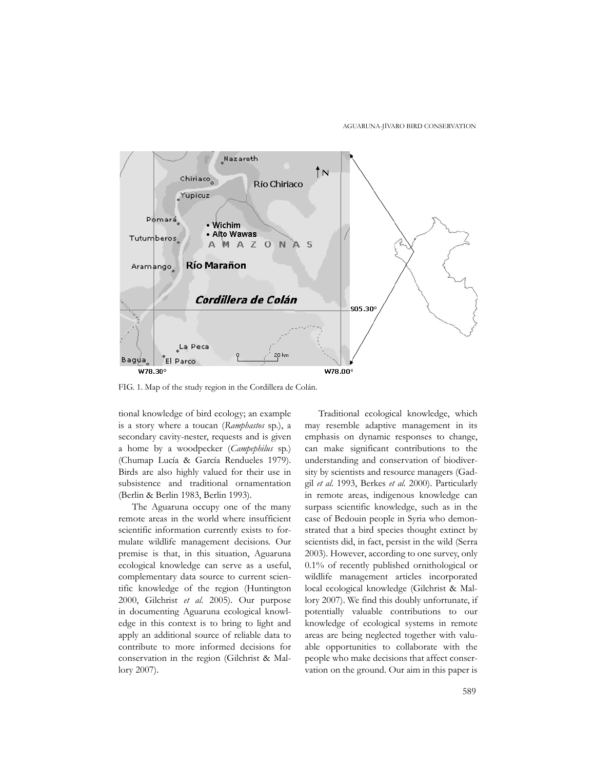

FIG. 1. Map of the study region in the Cordillera de Colán.

tional knowledge of bird ecology; an example is a story where a toucan (*Ramphastos* sp*.*), a secondary cavity-nester, requests and is given a home by a woodpecker (*Campephilus* sp*.*) (Chumap Lucía & García Rendueles 1979). Birds are also highly valued for their use in subsistence and traditional ornamentation (Berlin & Berlin 1983, Berlin 1993).

The Aguaruna occupy one of the many remote areas in the world where insufficient scientific information currently exists to formulate wildlife management decisions. Our premise is that, in this situation, Aguaruna ecological knowledge can serve as a useful, complementary data source to current scientific knowledge of the region (Huntington 2000, Gilchrist *et al.* 2005). Our purpose in documenting Aguaruna ecological knowledge in this context is to bring to light and apply an additional source of reliable data to contribute to more informed decisions for conservation in the region (Gilchrist & Mallory 2007).

Traditional ecological knowledge, which may resemble adaptive management in its emphasis on dynamic responses to change, can make significant contributions to the understanding and conservation of biodiversity by scientists and resource managers (Gadgil *et al.* 1993, Berkes *et al.* 2000). Particularly in remote areas, indigenous knowledge can surpass scientific knowledge, such as in the case of Bedouin people in Syria who demonstrated that a bird species thought extinct by scientists did, in fact, persist in the wild (Serra 2003). However, according to one survey, only 0.1% of recently published ornithological or wildlife management articles incorporated local ecological knowledge (Gilchrist & Mallory 2007). We find this doubly unfortunate, if potentially valuable contributions to our knowledge of ecological systems in remote areas are being neglected together with valuable opportunities to collaborate with the people who make decisions that affect conservation on the ground. Our aim in this paper is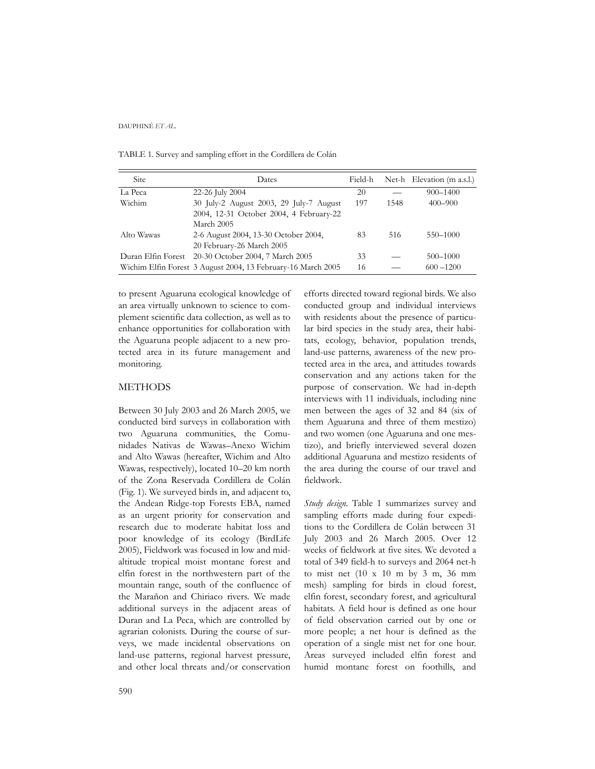TABLE 1. Survey and sampling effort in the Cordillera de Colán

| <b>Site</b> | Dates                                                        | Field-h |      | Net-h Elevation (m a.s.l.) |
|-------------|--------------------------------------------------------------|---------|------|----------------------------|
| La Peca     | 22-26 July 2004                                              | 20      |      | $900 - 1400$               |
| Wichim      | 30 July-2 August 2003, 29 July-7 August                      | 197     | 1548 | $400 - 900$                |
|             | 2004, 12-31 October 2004, 4 February-22                      |         |      |                            |
|             | March 2005                                                   |         |      |                            |
| Alto Wawas  | 2-6 August 2004, 13-30 October 2004,                         | 83      | 516  | 550-1000                   |
|             | 20 February-26 March 2005                                    |         |      |                            |
|             | Duran Elfin Forest 20-30 October 2004, 7 March 2005          | 33      |      | 500-1000                   |
|             | Wichim Elfin Forest 3 August 2004, 13 February-16 March 2005 | 16      |      | $600 - 1200$               |

to present Aguaruna ecological knowledge of an area virtually unknown to science to complement scientific data collection, as well as to enhance opportunities for collaboration with the Aguaruna people adjacent to a new protected area in its future management and monitoring.

## **METHODS**

Between 30 July 2003 and 26 March 2005, we conducted bird surveys in collaboration with two Aguaruna communities, the Comunidades Nativas de Wawas–Anexo Wichim and Alto Wawas (hereafter, Wichim and Alto Wawas, respectively), located 10–20 km north of the Zona Reservada Cordillera de Colán (Fig. 1). We surveyed birds in, and adjacent to, the Andean Ridge-top Forests EBA, named as an urgent priority for conservation and research due to moderate habitat loss and poor knowledge of its ecology (BirdLife 2005), Fieldwork was focused in low and midaltitude tropical moist montane forest and elfin forest in the northwestern part of the mountain range, south of the confluence of the Marañon and Chiriaco rivers. We made additional surveys in the adjacent areas of Duran and La Peca, which are controlled by agrarian colonists. During the course of surveys, we made incidental observations on land-use patterns, regional harvest pressure, and other local threats and/or conservation efforts directed toward regional birds. We also conducted group and individual interviews with residents about the presence of particular bird species in the study area, their habitats, ecology, behavior, population trends, land-use patterns, awareness of the new protected area in the area, and attitudes towards conservation and any actions taken for the purpose of conservation. We had in-depth interviews with 11 individuals, including nine men between the ages of 32 and 84 (six of them Aguaruna and three of them mestizo) and two women (one Aguaruna and one mestizo), and briefly interviewed several dozen additional Aguaruna and mestizo residents of the area during the course of our travel and fieldwork.

*Study design*. Table 1 summarizes survey and sampling efforts made during four expeditions to the Cordillera de Colán between 31 July 2003 and 26 March 2005. Over 12 weeks of fieldwork at five sites. We devoted a total of 349 field-h to surveys and 2064 net-h to mist net (10 x 10 m by 3 m, 36 mm mesh) sampling for birds in cloud forest, elfin forest, secondary forest, and agricultural habitats. A field hour is defined as one hour of field observation carried out by one or more people; a net hour is defined as the operation of a single mist net for one hour. Areas surveyed included elfin forest and humid montane forest on foothills, and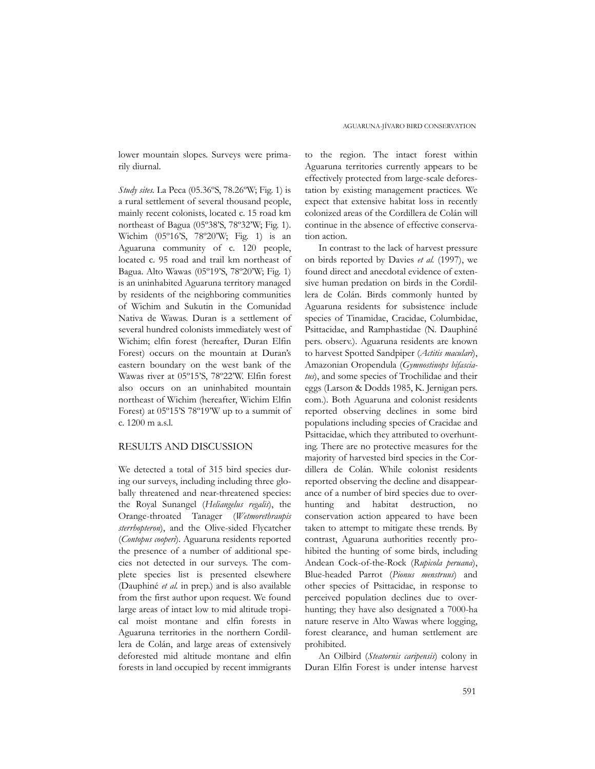lower mountain slopes. Surveys were primarily diurnal.

*Study sites.* La Peca (05.36ºS, 78.26ºW; Fig. 1) is a rural settlement of several thousand people, mainly recent colonists, located c. 15 road km northeast of Bagua (05º38'S, 78º32'W; Fig. 1). Wichim (05º16'S, 78º20'W; Fig. 1) is an Aguaruna community of c. 120 people, located c. 95 road and trail km northeast of Bagua. Alto Wawas (05º19'S, 78º20'W; Fig. 1) is an uninhabited Aguaruna territory managed by residents of the neighboring communities of Wichim and Sukutin in the Comunidad Nativa de Wawas. Duran is a settlement of several hundred colonists immediately west of Wichim; elfin forest (hereafter, Duran Elfin Forest) occurs on the mountain at Duran's eastern boundary on the west bank of the Wawas river at 05º15'S, 78º22'W. Elfin forest also occurs on an uninhabited mountain northeast of Wichim (hereafter, Wichim Elfin Forest) at 05º15'S 78º19'W up to a summit of c. 1200 m a.s.l.

### RESULTS AND DISCUSSION

We detected a total of 315 bird species during our surveys, including including three globally threatened and near-threatened species: the Royal Sunangel (*Heliangelus regalis*), the Orange-throated Tanager (*Wetmorethraupis sterrhopteron*), and the Olive-sided Flycatcher (*Contopus cooperi*). Aguaruna residents reported the presence of a number of additional species not detected in our surveys. The complete species list is presented elsewhere (Dauphiné *et al.* in prep.) and is also available from the first author upon request. We found large areas of intact low to mid altitude tropical moist montane and elfin forests in Aguaruna territories in the northern Cordillera de Colán, and large areas of extensively deforested mid altitude montane and elfin forests in land occupied by recent immigrants to the region. The intact forest within Aguaruna territories currently appears to be effectively protected from large-scale deforestation by existing management practices. We expect that extensive habitat loss in recently colonized areas of the Cordillera de Colán will continue in the absence of effective conservation action.

In contrast to the lack of harvest pressure on birds reported by Davies *et al.* (1997), we found direct and anecdotal evidence of extensive human predation on birds in the Cordillera de Colán. Birds commonly hunted by Aguaruna residents for subsistence include species of Tinamidae, Cracidae, Columbidae, Psittacidae, and Ramphastidae (N. Dauphiné pers. observ.). Aguaruna residents are known to harvest Spotted Sandpiper (*Actitis maculari*), Amazonian Oropendula (*Gymnostinops bifasciatus*), and some species of Trochilidae and their eggs (Larson & Dodds 1985, K. Jernigan pers. com.). Both Aguaruna and colonist residents reported observing declines in some bird populations including species of Cracidae and Psittacidae, which they attributed to overhunting. There are no protective measures for the majority of harvested bird species in the Cordillera de Colán. While colonist residents reported observing the decline and disappearance of a number of bird species due to overhunting and habitat destruction, no conservation action appeared to have been taken to attempt to mitigate these trends. By contrast, Aguaruna authorities recently prohibited the hunting of some birds, including Andean Cock-of-the-Rock (*Rupicola peruana*), Blue-headed Parrot (*Pionus menstruus*) and other species of Psittacidae, in response to perceived population declines due to overhunting; they have also designated a 7000-ha nature reserve in Alto Wawas where logging, forest clearance, and human settlement are prohibited.

An Oilbird (*Steatornis caripensis*) colony in Duran Elfin Forest is under intense harvest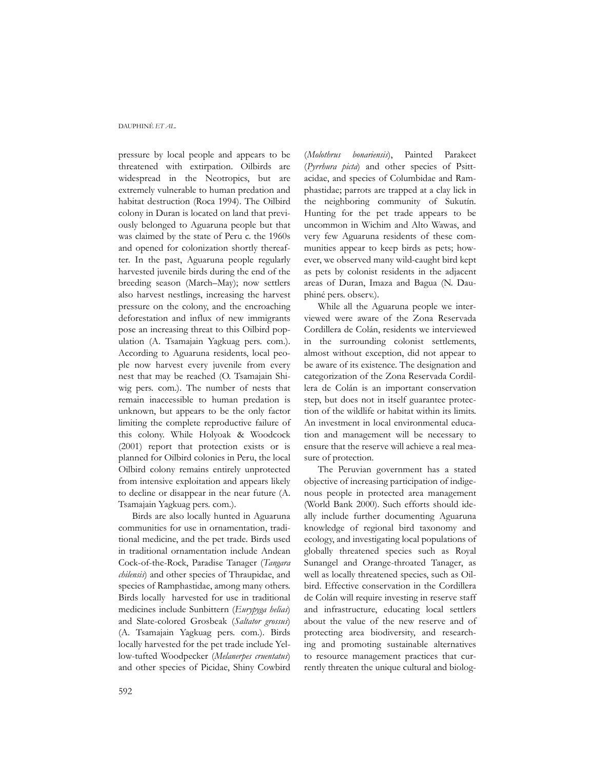pressure by local people and appears to be threatened with extirpation. Oilbirds are widespread in the Neotropics, but are extremely vulnerable to human predation and habitat destruction (Roca 1994). The Oilbird colony in Duran is located on land that previously belonged to Aguaruna people but that was claimed by the state of Peru c. the 1960s and opened for colonization shortly thereafter. In the past, Aguaruna people regularly harvested juvenile birds during the end of the breeding season (March–May); now settlers also harvest nestlings, increasing the harvest pressure on the colony, and the encroaching deforestation and influx of new immigrants pose an increasing threat to this Oilbird population (A. Tsamajain Yagkuag pers. com.). According to Aguaruna residents, local people now harvest every juvenile from every nest that may be reached (O. Tsamajain Shiwig pers. com.). The number of nests that remain inaccessible to human predation is unknown, but appears to be the only factor limiting the complete reproductive failure of this colony. While Holyoak & Woodcock (2001) report that protection exists or is planned for Oilbird colonies in Peru, the local Oilbird colony remains entirely unprotected from intensive exploitation and appears likely to decline or disappear in the near future (A. Tsamajain Yagkuag pers. com.).

Birds are also locally hunted in Aguaruna communities for use in ornamentation, traditional medicine, and the pet trade. Birds used in traditional ornamentation include Andean Cock-of-the-Rock, Paradise Tanager (*Tangara chilensis*) and other species of Thraupidae, and species of Ramphastidae, among many others. Birds locally harvested for use in traditional medicines include Sunbittern (*Eurypyga helias*) and Slate-colored Grosbeak (*Saltator grossus*) (A. Tsamajain Yagkuag pers. com.). Birds locally harvested for the pet trade include Yellow-tufted Woodpecker (*Melanerpes cruentatus*) and other species of Picidae, Shiny Cowbird

(*Molothrus bonariensis*), Painted Parakeet (*Pyrrhura picta*) and other species of Psittacidae, and species of Columbidae and Ramphastidae; parrots are trapped at a clay lick in the neighboring community of Sukutín. Hunting for the pet trade appears to be uncommon in Wichim and Alto Wawas, and very few Aguaruna residents of these communities appear to keep birds as pets; however, we observed many wild-caught bird kept as pets by colonist residents in the adjacent areas of Duran, Imaza and Bagua (N. Dauphiné pers. observ.).

While all the Aguaruna people we interviewed were aware of the Zona Reservada Cordillera de Colán, residents we interviewed in the surrounding colonist settlements, almost without exception, did not appear to be aware of its existence. The designation and categorization of the Zona Reservada Cordillera de Colán is an important conservation step, but does not in itself guarantee protection of the wildlife or habitat within its limits. An investment in local environmental education and management will be necessary to ensure that the reserve will achieve a real measure of protection.

The Peruvian government has a stated objective of increasing participation of indigenous people in protected area management (World Bank 2000). Such efforts should ideally include further documenting Aguaruna knowledge of regional bird taxonomy and ecology, and investigating local populations of globally threatened species such as Royal Sunangel and Orange-throated Tanager, as well as locally threatened species, such as Oilbird. Effective conservation in the Cordillera de Colán will require investing in reserve staff and infrastructure, educating local settlers about the value of the new reserve and of protecting area biodiversity, and researching and promoting sustainable alternatives to resource management practices that currently threaten the unique cultural and biolog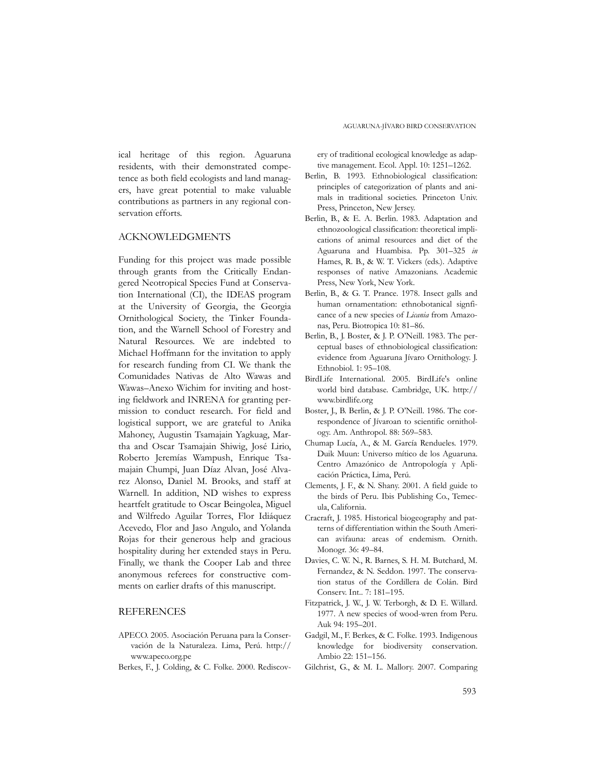ical heritage of this region. Aguaruna residents, with their demonstrated competence as both field ecologists and land managers, have great potential to make valuable contributions as partners in any regional conservation efforts.

### ACKNOWLEDGMENTS

Funding for this project was made possible through grants from the Critically Endangered Neotropical Species Fund at Conservation International (CI), the IDEAS program at the University of Georgia, the Georgia Ornithological Society, the Tinker Foundation, and the Warnell School of Forestry and Natural Resources. We are indebted to Michael Hoffmann for the invitation to apply for research funding from CI. We thank the Comunidades Nativas de Alto Wawas and Wawas–Anexo Wichim for inviting and hosting fieldwork and INRENA for granting permission to conduct research. For field and logistical support, we are grateful to Anika Mahoney, Augustin Tsamajain Yagkuag, Martha and Oscar Tsamajain Shiwig, José Lirio, Roberto Jeremías Wampush, Enrique Tsamajain Chumpi, Juan Díaz Alvan, José Alvarez Alonso, Daniel M. Brooks, and staff at Warnell. In addition, ND wishes to express heartfelt gratitude to Oscar Beingolea, Miguel and Wilfredo Aguilar Torres, Flor Idiáquez Acevedo, Flor and Jaso Angulo, and Yolanda Rojas for their generous help and gracious hospitality during her extended stays in Peru. Finally, we thank the Cooper Lab and three anonymous referees for constructive comments on earlier drafts of this manuscript.

# **REFERENCES**

- APECO. 2005. Asociación Peruana para la Conservación de la Naturaleza. Lima, Perú. http:// www.apeco.org.pe
- Berkes, F., J. Colding, & C. Folke. 2000. Rediscov-

ery of traditional ecological knowledge as adaptive management. Ecol. Appl. 10: 1251–1262.

- Berlin, B. 1993. Ethnobiological classification: principles of categorization of plants and animals in traditional societies. Princeton Univ. Press, Princeton, New Jersey.
- Berlin, B., & E. A. Berlin. 1983. Adaptation and ethnozoological classification: theoretical implications of animal resources and diet of the Aguaruna and Huambisa. Pp. 301–325 *in* Hames, R. B., & W. T. Vickers (eds.). Adaptive responses of native Amazonians. Academic Press, New York, New York.
- Berlin, B., & G. T. Prance. 1978. Insect galls and human ornamentation: ethnobotanical signficance of a new species of *Licania* from Amazonas, Peru. Biotropica 10: 81–86.
- Berlin, B., J. Boster, & J. P. O'Neill. 1983. The perceptual bases of ethnobiological classification: evidence from Aguaruna Jívaro Ornithology. J. Ethnobiol. 1: 95–108.
- BirdLife International. 2005. BirdLife's online world bird database. Cambridge, UK. http:// www.birdlife.org
- Boster, J., B. Berlin, & J. P. O'Neill. 1986. The correspondence of Jívaroan to scientific ornithology. Am. Anthropol. 88: 569–583.
- Chumap Lucía, A., & M. García Rendueles. 1979. Duik Muun: Universo mítico de los Aguaruna. Centro Amazónico de Antropología y Aplicación Práctica, Lima, Perú.
- Clements, J. F., & N. Shany. 2001. A field guide to the birds of Peru. Ibis Publishing Co., Temecula, California.
- Cracraft, J. 1985. Historical biogeography and patterns of differentiation within the South American avifauna: areas of endemism. Ornith. Monogr. 36: 49–84.
- Davies, C. W. N., R. Barnes, S. H. M. Butchard, M. Fernandez, & N. Seddon. 1997. The conservation status of the Cordillera de Colán. Bird Conserv. Int.. 7: 181–195.
- Fitzpatrick, J. W., J. W. Terborgh, & D. E. Willard. 1977. A new species of wood-wren from Peru. Auk 94: 195–201.
- Gadgil, M., F. Berkes, & C. Folke. 1993. Indigenous knowledge for biodiversity conservation. Ambio 22: 151–156.
- Gilchrist, G., & M. L. Mallory. 2007. Comparing